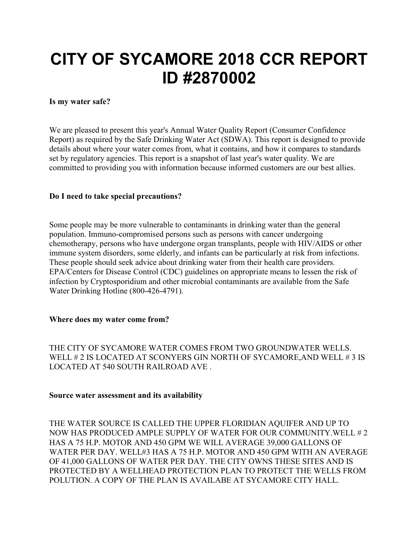# CITY OF SYCAMORE 2018 CCR REPORT ID #2870002

#### Is my water safe?

We are pleased to present this year's Annual Water Quality Report (Consumer Confidence Report) as required by the Safe Drinking Water Act (SDWA). This report is designed to provide details about where your water comes from, what it contains, and how it compares to standards set by regulatory agencies. This report is a snapshot of last year's water quality. We are committed to providing you with information because informed customers are our best allies.

#### Do I need to take special precautions?

Some people may be more vulnerable to contaminants in drinking water than the general population. Immuno-compromised persons such as persons with cancer undergoing chemotherapy, persons who have undergone organ transplants, people with HIV/AIDS or other immune system disorders, some elderly, and infants can be particularly at risk from infections. These people should seek advice about drinking water from their health care providers. EPA/Centers for Disease Control (CDC) guidelines on appropriate means to lessen the risk of infection by Cryptosporidium and other microbial contaminants are available from the Safe Water Drinking Hotline (800-426-4791).

#### Where does my water come from?

THE CITY OF SYCAMORE WATER COMES FROM TWO GROUNDWATER WELLS. WELL # 2 IS LOCATED AT SCONYERS GIN NORTH OF SYCAMORE,AND WELL # 3 IS LOCATED AT 540 SOUTH RAILROAD AVE .

#### Source water assessment and its availability

THE WATER SOURCE IS CALLED THE UPPER FLORIDIAN AQUIFER AND UP TO NOW HAS PRODUCED AMPLE SUPPLY OF WATER FOR OUR COMMUNITY.WELL # 2 HAS A 75 H.P. MOTOR AND 450 GPM WE WILL AVERAGE 39,000 GALLONS OF WATER PER DAY. WELL#3 HAS A 75 H.P. MOTOR AND 450 GPM WITH AN AVERAGE OF 41,000 GALLONS OF WATER PER DAY. THE CITY OWNS THESE SITES AND IS PROTECTED BY A WELLHEAD PROTECTION PLAN TO PROTECT THE WELLS FROM POLUTION. A COPY OF THE PLAN IS AVAILABE AT SYCAMORE CITY HALL.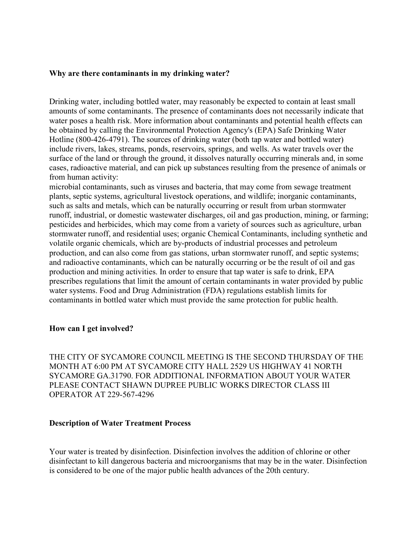#### Why are there contaminants in my drinking water?

Drinking water, including bottled water, may reasonably be expected to contain at least small amounts of some contaminants. The presence of contaminants does not necessarily indicate that water poses a health risk. More information about contaminants and potential health effects can be obtained by calling the Environmental Protection Agency's (EPA) Safe Drinking Water Hotline (800-426-4791). The sources of drinking water (both tap water and bottled water) include rivers, lakes, streams, ponds, reservoirs, springs, and wells. As water travels over the surface of the land or through the ground, it dissolves naturally occurring minerals and, in some cases, radioactive material, and can pick up substances resulting from the presence of animals or from human activity:

microbial contaminants, such as viruses and bacteria, that may come from sewage treatment plants, septic systems, agricultural livestock operations, and wildlife; inorganic contaminants, such as salts and metals, which can be naturally occurring or result from urban stormwater runoff, industrial, or domestic wastewater discharges, oil and gas production, mining, or farming; pesticides and herbicides, which may come from a variety of sources such as agriculture, urban stormwater runoff, and residential uses; organic Chemical Contaminants, including synthetic and volatile organic chemicals, which are by-products of industrial processes and petroleum production, and can also come from gas stations, urban stormwater runoff, and septic systems; and radioactive contaminants, which can be naturally occurring or be the result of oil and gas production and mining activities. In order to ensure that tap water is safe to drink, EPA prescribes regulations that limit the amount of certain contaminants in water provided by public water systems. Food and Drug Administration (FDA) regulations establish limits for contaminants in bottled water which must provide the same protection for public health.

#### How can I get involved?

THE CITY OF SYCAMORE COUNCIL MEETING IS THE SECOND THURSDAY OF THE MONTH AT 6:00 PM AT SYCAMORE CITY HALL 2529 US HIGHWAY 41 NORTH SYCAMORE GA.31790. FOR ADDITIONAL INFORMATION ABOUT YOUR WATER PLEASE CONTACT SHAWN DUPREE PUBLIC WORKS DIRECTOR CLASS III OPERATOR AT 229-567-4296

#### Description of Water Treatment Process

Your water is treated by disinfection. Disinfection involves the addition of chlorine or other disinfectant to kill dangerous bacteria and microorganisms that may be in the water. Disinfection is considered to be one of the major public health advances of the 20th century.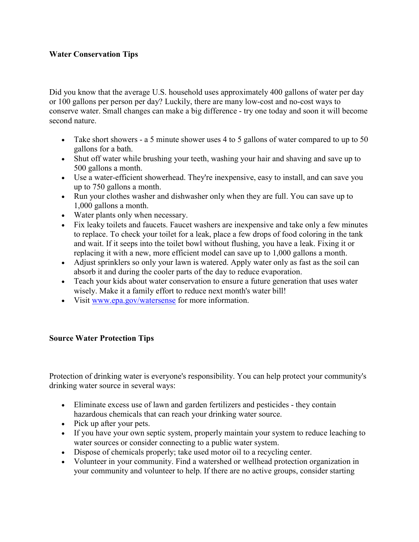# Water Conservation Tips

Did you know that the average U.S. household uses approximately 400 gallons of water per day or 100 gallons per person per day? Luckily, there are many low-cost and no-cost ways to conserve water. Small changes can make a big difference - try one today and soon it will become second nature.

- Take short showers a 5 minute shower uses 4 to 5 gallons of water compared to up to 50 gallons for a bath.
- Shut off water while brushing your teeth, washing your hair and shaving and save up to 500 gallons a month.
- Use a water-efficient showerhead. They're inexpensive, easy to install, and can save you up to 750 gallons a month.
- Run your clothes washer and dishwasher only when they are full. You can save up to 1,000 gallons a month.
- Water plants only when necessary.
- Fix leaky toilets and faucets. Faucet washers are inexpensive and take only a few minutes to replace. To check your toilet for a leak, place a few drops of food coloring in the tank and wait. If it seeps into the toilet bowl without flushing, you have a leak. Fixing it or replacing it with a new, more efficient model can save up to 1,000 gallons a month.
- Adjust sprinklers so only your lawn is watered. Apply water only as fast as the soil can absorb it and during the cooler parts of the day to reduce evaporation.
- Teach your kids about water conservation to ensure a future generation that uses water wisely. Make it a family effort to reduce next month's water bill!
- Visit www.epa.gov/watersense for more information.

### Source Water Protection Tips

Protection of drinking water is everyone's responsibility. You can help protect your community's drinking water source in several ways:

- Eliminate excess use of lawn and garden fertilizers and pesticides they contain hazardous chemicals that can reach your drinking water source.
- Pick up after your pets.
- If you have your own septic system, properly maintain your system to reduce leaching to water sources or consider connecting to a public water system.
- Dispose of chemicals properly; take used motor oil to a recycling center.
- Volunteer in your community. Find a watershed or wellhead protection organization in your community and volunteer to help. If there are no active groups, consider starting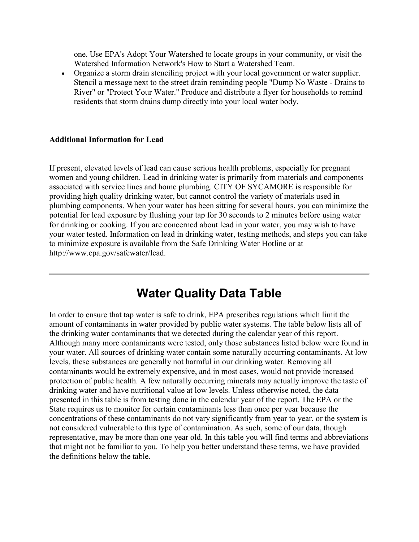one. Use EPA's Adopt Your Watershed to locate groups in your community, or visit the Watershed Information Network's How to Start a Watershed Team.

 Organize a storm drain stenciling project with your local government or water supplier. Stencil a message next to the street drain reminding people "Dump No Waste - Drains to River" or "Protect Your Water." Produce and distribute a flyer for households to remind residents that storm drains dump directly into your local water body.

#### Additional Information for Lead

If present, elevated levels of lead can cause serious health problems, especially for pregnant women and young children. Lead in drinking water is primarily from materials and components associated with service lines and home plumbing. CITY OF SYCAMORE is responsible for providing high quality drinking water, but cannot control the variety of materials used in plumbing components. When your water has been sitting for several hours, you can minimize the potential for lead exposure by flushing your tap for 30 seconds to 2 minutes before using water for drinking or cooking. If you are concerned about lead in your water, you may wish to have your water tested. Information on lead in drinking water, testing methods, and steps you can take to minimize exposure is available from the Safe Drinking Water Hotline or at http://www.epa.gov/safewater/lead.

# Water Quality Data Table

In order to ensure that tap water is safe to drink, EPA prescribes regulations which limit the amount of contaminants in water provided by public water systems. The table below lists all of the drinking water contaminants that we detected during the calendar year of this report. Although many more contaminants were tested, only those substances listed below were found in your water. All sources of drinking water contain some naturally occurring contaminants. At low levels, these substances are generally not harmful in our drinking water. Removing all contaminants would be extremely expensive, and in most cases, would not provide increased protection of public health. A few naturally occurring minerals may actually improve the taste of drinking water and have nutritional value at low levels. Unless otherwise noted, the data presented in this table is from testing done in the calendar year of the report. The EPA or the State requires us to monitor for certain contaminants less than once per year because the concentrations of these contaminants do not vary significantly from year to year, or the system is not considered vulnerable to this type of contamination. As such, some of our data, though representative, may be more than one year old. In this table you will find terms and abbreviations that might not be familiar to you. To help you better understand these terms, we have provided the definitions below the table.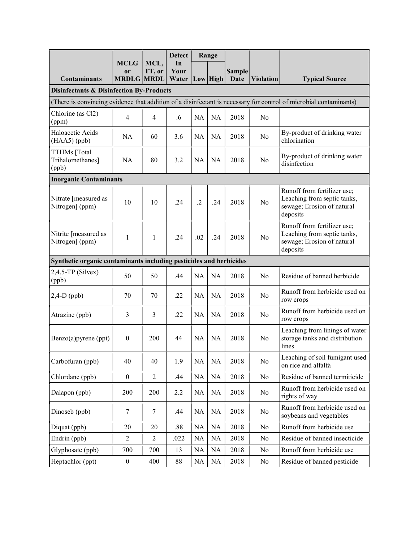|                                                                                                                                                                          | <b>MCLG</b>       | MCL,           | <b>Detect</b><br>In |            | Range     |               |                  |                                                                                                      |
|--------------------------------------------------------------------------------------------------------------------------------------------------------------------------|-------------------|----------------|---------------------|------------|-----------|---------------|------------------|------------------------------------------------------------------------------------------------------|
|                                                                                                                                                                          | <sub>or</sub>     | TT, or         | Your                |            |           | <b>Sample</b> |                  |                                                                                                      |
| <b>Contaminants</b>                                                                                                                                                      | <b>MRDLG MRDL</b> |                | Water               |            | Low High  | <b>Date</b>   | <b>Violation</b> | <b>Typical Source</b>                                                                                |
| <b>Disinfectants &amp; Disinfection By-Products</b><br>(There is convincing evidence that addition of a disinfectant is necessary for control of microbial contaminants) |                   |                |                     |            |           |               |                  |                                                                                                      |
| Chlorine (as Cl2)                                                                                                                                                        |                   |                |                     |            |           |               |                  |                                                                                                      |
| (ppm)                                                                                                                                                                    | $\overline{4}$    | $\overline{4}$ | .6                  | <b>NA</b>  | NA        | 2018          | No               |                                                                                                      |
| Haloacetic Acids<br>$(HAA5)$ (ppb)                                                                                                                                       | <b>NA</b>         | 60             | 3.6                 | <b>NA</b>  | <b>NA</b> | 2018          | N <sub>0</sub>   | By-product of drinking water<br>chlorination                                                         |
| TTHMs [Total<br>Trihalomethanes]<br>(ppb)                                                                                                                                | <b>NA</b>         | 80             | 3.2                 | <b>NA</b>  | <b>NA</b> | 2018          | N <sub>0</sub>   | By-product of drinking water<br>disinfection                                                         |
| <b>Inorganic Contaminants</b>                                                                                                                                            |                   |                |                     |            |           |               |                  |                                                                                                      |
| Nitrate [measured as<br>Nitrogen] (ppm)                                                                                                                                  | 10                | 10             | .24                 | $\cdot$ .2 | .24       | 2018          | No               | Runoff from fertilizer use;<br>Leaching from septic tanks,<br>sewage; Erosion of natural<br>deposits |
| Nitrite [measured as<br>Nitrogen] (ppm)                                                                                                                                  | 1                 | $\mathbf{1}$   | .24                 | .02        | .24       | 2018          | No               | Runoff from fertilizer use;<br>Leaching from septic tanks,<br>sewage; Erosion of natural<br>deposits |
| Synthetic organic contaminants including pesticides and herbicides                                                                                                       |                   |                |                     |            |           |               |                  |                                                                                                      |
| $2,4,5$ -TP (Silvex)<br>(ppb)                                                                                                                                            | 50                | 50             | .44                 | <b>NA</b>  | NA        | 2018          | No               | Residue of banned herbicide                                                                          |
| $2,4-D$ (ppb)                                                                                                                                                            | 70                | 70             | .22                 | <b>NA</b>  | <b>NA</b> | 2018          | N <sub>0</sub>   | Runoff from herbicide used on<br>row crops                                                           |
| Atrazine (ppb)                                                                                                                                                           | 3                 | 3              | .22                 | <b>NA</b>  | <b>NA</b> | 2018          | N <sub>0</sub>   | Runoff from herbicide used on<br>row crops                                                           |
| Benzo(a)pyrene (ppt)                                                                                                                                                     | $\boldsymbol{0}$  | 200            | 44                  | NA         | <b>NA</b> | 2018          | N <sub>0</sub>   | Leaching from linings of water<br>storage tanks and distribution<br>lines                            |
| Carbofuran (ppb)                                                                                                                                                         | 40                | 40             | 1.9                 | NA         | NA        | 2018          | No               | Leaching of soil fumigant used<br>on rice and alfalfa                                                |
| Chlordane (ppb)                                                                                                                                                          | $\boldsymbol{0}$  | $\overline{2}$ | .44                 | NA         | NA        | 2018          | No               | Residue of banned termiticide                                                                        |
| Dalapon (ppb)                                                                                                                                                            | 200               | 200            | 2.2                 | NA         | NA        | 2018          | No               | Runoff from herbicide used on<br>rights of way                                                       |
| Dinoseb (ppb)                                                                                                                                                            | $\tau$            | $\tau$         | .44                 | NA         | NA        | 2018          | No               | Runoff from herbicide used on<br>soybeans and vegetables                                             |
| Diquat (ppb)                                                                                                                                                             | 20                | 20             | .88                 | NA         | NA        | 2018          | No               | Runoff from herbicide use                                                                            |
| Endrin (ppb)                                                                                                                                                             | $\overline{c}$    | $\overline{2}$ | .022                | NA         | NA        | 2018          | No               | Residue of banned insecticide                                                                        |
| Glyphosate (ppb)                                                                                                                                                         | 700               | 700            | 13                  | NA         | NA        | 2018          | No               | Runoff from herbicide use                                                                            |
| Heptachlor (ppt)                                                                                                                                                         | $\boldsymbol{0}$  | 400            | 88                  | NA         | NA        | 2018          | No               | Residue of banned pesticide                                                                          |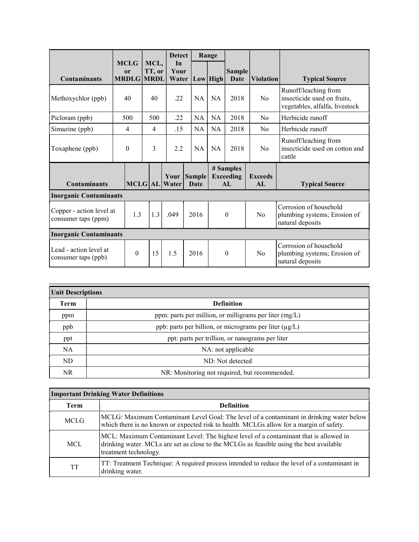|                                                 |                                                   |                 | <b>Detect</b>       |                            | Range     |                                      |                      |                                                                                       |
|-------------------------------------------------|---------------------------------------------------|-----------------|---------------------|----------------------------|-----------|--------------------------------------|----------------------|---------------------------------------------------------------------------------------|
| <b>Contaminants</b>                             | <b>MCLG</b><br><sub>or</sub><br><b>MRDLG MRDL</b> | MCL,<br>TT, or  | In<br>Your<br>Water |                            | Low  High | Sample<br>Date                       | <b>Violation</b>     | <b>Typical Source</b>                                                                 |
| Methoxychlor (ppb)                              | 40                                                | 40              | .22                 | NA                         | <b>NA</b> | 2018                                 | No                   | Runoff/leaching from<br>insecticide used on fruits,<br>vegetables, alfalfa, livestock |
| Picloram (ppb)                                  | 500                                               | 500             | .22                 | NA                         | NA        | 2018                                 | N <sub>0</sub>       | Herbicide runoff                                                                      |
| Simazine (ppb)                                  | 4                                                 | $\overline{4}$  | .15                 | <b>NA</b>                  | <b>NA</b> | 2018                                 | No                   | Herbicide runoff                                                                      |
| Toxaphene (ppb)                                 | $\theta$                                          | $\overline{3}$  | 2.2                 | NA                         | <b>NA</b> | 2018                                 | No                   | Runoff/leaching from<br>insecticide used on cotton and<br>cattle                      |
| <b>Contaminants</b>                             |                                                   | <b>MCLG</b>  AL | Water               | Your Sample<br><b>Date</b> |           | # Samples<br><b>Exceeding</b><br>AI. | <b>Exceeds</b><br>AI | <b>Typical Source</b>                                                                 |
| <b>Inorganic Contaminants</b>                   |                                                   |                 |                     |                            |           |                                      |                      |                                                                                       |
| Copper - action level at<br>consumer taps (ppm) | 1.3                                               | 1.3             | .049                | 2016                       |           | $\theta$                             | No                   | Corrosion of household<br>plumbing systems; Erosion of<br>natural deposits            |
| <b>Inorganic Contaminants</b>                   |                                                   |                 |                     |                            |           |                                      |                      |                                                                                       |
| Lead - action level at<br>consumer taps (ppb)   | $\theta$                                          | 15              | 1.5                 | 2016                       |           | $\mathbf{0}$                         | No                   | Corrosion of household<br>plumbing systems; Erosion of<br>natural deposits            |

| <b>Unit Descriptions</b> |                                                          |  |  |  |
|--------------------------|----------------------------------------------------------|--|--|--|
| Term                     | <b>Definition</b>                                        |  |  |  |
| ppm                      | ppm: parts per million, or milligrams per liter $(mg/L)$ |  |  |  |
| ppb                      | ppb: parts per billion, or micrograms per liter (µg/L)   |  |  |  |
| ppt                      | ppt: parts per trillion, or nanograms per liter          |  |  |  |
| <b>NA</b>                | NA: not applicable                                       |  |  |  |
| ND                       | ND: Not detected                                         |  |  |  |
| <b>NR</b>                | NR: Monitoring not required, but recommended.            |  |  |  |

| <b>Important Drinking Water Definitions</b> |                                                                                                                                                                                                           |  |  |  |
|---------------------------------------------|-----------------------------------------------------------------------------------------------------------------------------------------------------------------------------------------------------------|--|--|--|
| <b>Term</b>                                 | <b>Definition</b>                                                                                                                                                                                         |  |  |  |
| <b>MCLG</b>                                 | MCLG: Maximum Contaminant Level Goal: The level of a contaminant in drinking water below<br>which there is no known or expected risk to health. MCLGs allow for a margin of safety.                       |  |  |  |
| <b>MCL</b>                                  | MCL: Maximum Contaminant Level: The highest level of a contaminant that is allowed in<br>drinking water. MCLs are set as close to the MCLGs as feasible using the best available<br>treatment technology. |  |  |  |
| TT                                          | TT: Treatment Technique: A required process intended to reduce the level of a contaminant in<br>drinking water.                                                                                           |  |  |  |